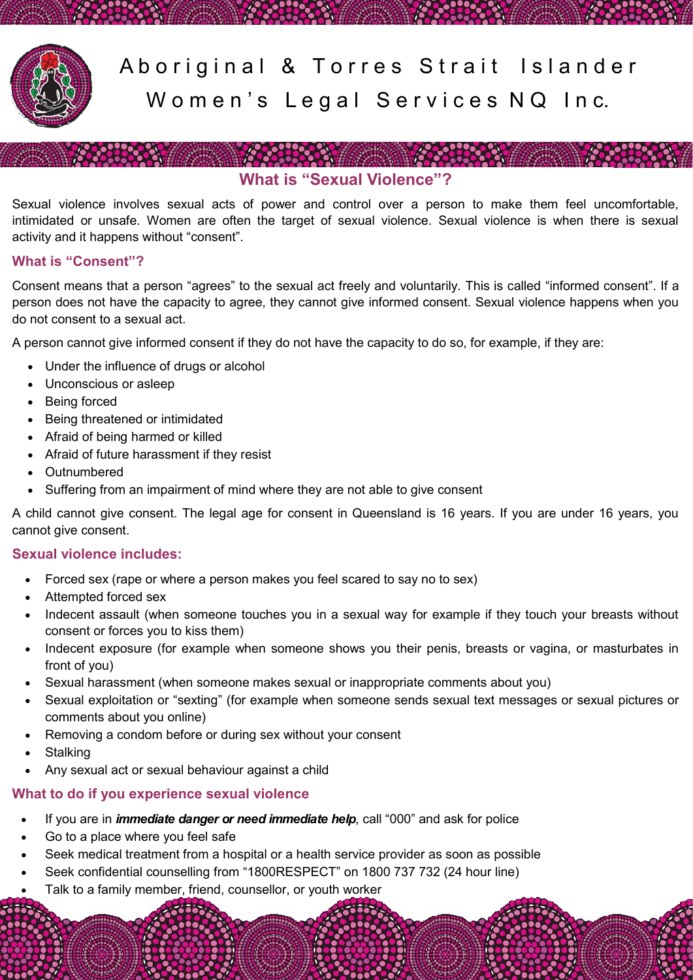

Aboriginal & Torres Strait Islander Women's Legal Services NQ Inc.

# **What is "Sexual Violence"?**

Sexual violence involves sexual acts of power and control over a person to make them feel uncomfortable, intimidated or unsafe. Women are often the target of sexual violence. Sexual violence is when there is sexual activity and it happens without "consent".

### **What is "Consent"?**

Consent means that a person "agrees" to the sexual act freely and voluntarily. This is called "informed consent". If a person does not have the capacity to agree, they cannot give informed consent. Sexual violence happens when you do not consent to a sexual act.

A person cannot give informed consent if they do not have the capacity to do so, for example, if they are:

- Under the influence of drugs or alcohol
- Unconscious or asleep
- Being forced
- Being threatened or intimidated
- Afraid of being harmed or killed
- Afraid of future harassment if they resist
- Outnumbered
- Suffering from an impairment of mind where they are not able to give consent

A child cannot give consent. The legal age for consent in Queensland is 16 years. If you are under 16 years, you cannot give consent.

### **Sexual violence includes:**

- Forced sex (rape or where a person makes you feel scared to say no to sex)
- Attempted forced sex
- Indecent assault (when someone touches you in a sexual way for example if they touch your breasts without consent or forces you to kiss them)
- Indecent exposure (for example when someone shows you their penis, breasts or vagina, or masturbates in front of you)
- Sexual harassment (when someone makes sexual or inappropriate comments about you)
- Sexual exploitation or "sexting" (for example when someone sends sexual text messages or sexual pictures or comments about you online)
- Removing a condom before or during sex without your consent
- **Stalking**
- Any sexual act or sexual behaviour against a child

## **What to do if you experience sexual violence**

- If you are in *immediate danger or need immediate help*, call "000" and ask for police
- Go to a place where you feel safe
- Seek medical treatment from a hospital or a health service provider as soon as possible
- Seek confidential counselling from "1800RESPECT" on 1800 737 732 (24 hour line)
- Talk to a family member, friend, counsellor, or youth worker